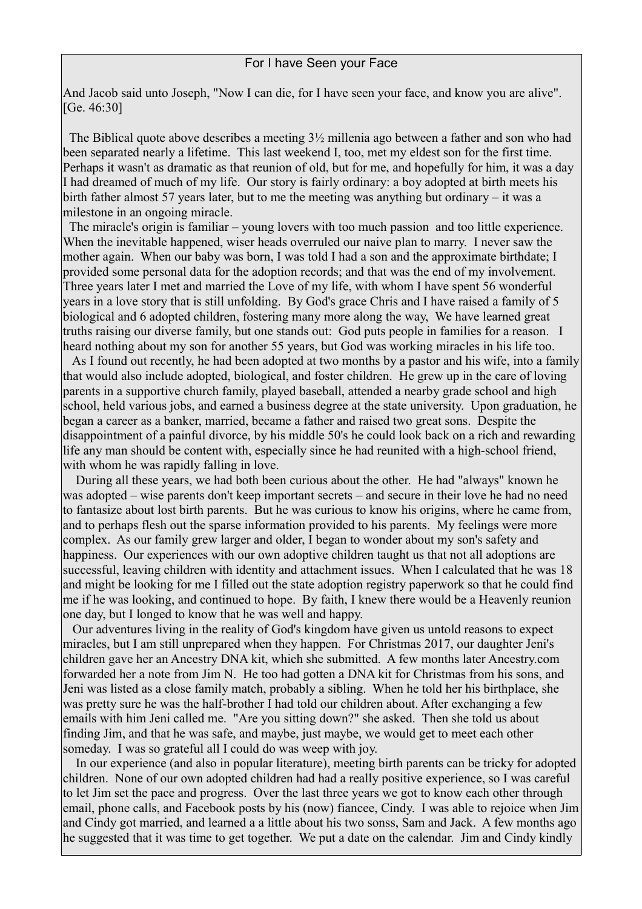## For I have Seen your Face

And Jacob said unto Joseph, "Now I can die, for I have seen your face, and know you are alive". [Ge. 46:30]

 The Biblical quote above describes a meeting 3½ millenia ago between a father and son who had been separated nearly a lifetime. This last weekend I, too, met my eldest son for the first time. Perhaps it wasn't as dramatic as that reunion of old, but for me, and hopefully for him, it was a day I had dreamed of much of my life. Our story is fairly ordinary: a boy adopted at birth meets his birth father almost 57 years later, but to me the meeting was anything but ordinary – it was a milestone in an ongoing miracle.

 The miracle's origin is familiar – young lovers with too much passion and too little experience. When the inevitable happened, wiser heads overruled our naive plan to marry. I never saw the mother again. When our baby was born, I was told I had a son and the approximate birthdate; I provided some personal data for the adoption records; and that was the end of my involvement. Three years later I met and married the Love of my life, with whom I have spent 56 wonderful years in a love story that is still unfolding. By God's grace Chris and I have raised a family of 5 biological and 6 adopted children, fostering many more along the way, We have learned great truths raising our diverse family, but one stands out: God puts people in families for a reason. I heard nothing about my son for another 55 years, but God was working miracles in his life too.

 As I found out recently, he had been adopted at two months by a pastor and his wife, into a family that would also include adopted, biological, and foster children. He grew up in the care of loving parents in a supportive church family, played baseball, attended a nearby grade school and high school, held various jobs, and earned a business degree at the state university. Upon graduation, he began a career as a banker, married, became a father and raised two great sons. Despite the disappointment of a painful divorce, by his middle 50's he could look back on a rich and rewarding life any man should be content with, especially since he had reunited with a high-school friend, with whom he was rapidly falling in love.

 During all these years, we had both been curious about the other. He had "always" known he was adopted – wise parents don't keep important secrets – and secure in their love he had no need to fantasize about lost birth parents. But he was curious to know his origins, where he came from, and to perhaps flesh out the sparse information provided to his parents. My feelings were more complex. As our family grew larger and older, I began to wonder about my son's safety and happiness. Our experiences with our own adoptive children taught us that not all adoptions are successful, leaving children with identity and attachment issues. When I calculated that he was 18 and might be looking for me I filled out the state adoption registry paperwork so that he could find me if he was looking, and continued to hope. By faith, I knew there would be a Heavenly reunion one day, but I longed to know that he was well and happy.

 Our adventures living in the reality of God's kingdom have given us untold reasons to expect miracles, but I am still unprepared when they happen. For Christmas 2017, our daughter Jeni's children gave her an Ancestry DNA kit, which she submitted. A few months later Ancestry.com forwarded her a note from Jim N. He too had gotten a DNA kit for Christmas from his sons, and Jeni was listed as a close family match, probably a sibling. When he told her his birthplace, she was pretty sure he was the half-brother I had told our children about. After exchanging a few emails with him Jeni called me. "Are you sitting down?" she asked. Then she told us about finding Jim, and that he was safe, and maybe, just maybe, we would get to meet each other someday. I was so grateful all I could do was weep with joy.

 In our experience (and also in popular literature), meeting birth parents can be tricky for adopted children. None of our own adopted children had had a really positive experience, so I was careful to let Jim set the pace and progress. Over the last three years we got to know each other through email, phone calls, and Facebook posts by his (now) fiancee, Cindy. I was able to rejoice when Jim and Cindy got married, and learned a a little about his two sonss, Sam and Jack. A few months ago he suggested that it was time to get together. We put a date on the calendar. Jim and Cindy kindly